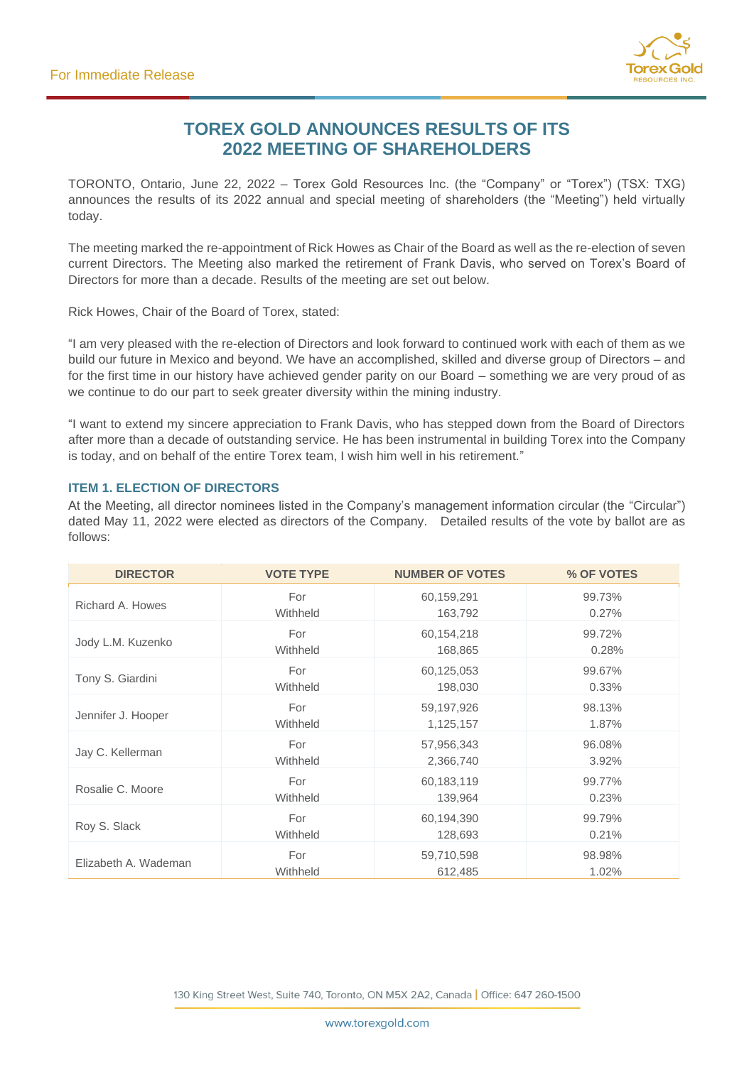

# **TOREX GOLD ANNOUNCES RESULTS OF ITS 2022 MEETING OF SHAREHOLDERS**

TORONTO, Ontario, June 22, 2022 – Torex Gold Resources Inc. (the "Company" or "Torex") (TSX: TXG) announces the results of its 2022 annual and special meeting of shareholders (the "Meeting") held virtually today.

The meeting marked the re-appointment of Rick Howes as Chair of the Board as well as the re-election of seven current Directors. The Meeting also marked the retirement of Frank Davis, who served on Torex's Board of Directors for more than a decade. Results of the meeting are set out below.

Rick Howes, Chair of the Board of Torex, stated:

"I am very pleased with the re-election of Directors and look forward to continued work with each of them as we build our future in Mexico and beyond. We have an accomplished, skilled and diverse group of Directors – and for the first time in our history have achieved gender parity on our Board – something we are very proud of as we continue to do our part to seek greater diversity within the mining industry.

"I want to extend my sincere appreciation to Frank Davis, who has stepped down from the Board of Directors after more than a decade of outstanding service. He has been instrumental in building Torex into the Company is today, and on behalf of the entire Torex team, I wish him well in his retirement."

# **ITEM 1. ELECTION OF DIRECTORS**

At the Meeting, all director nominees listed in the Company's management information circular (the "Circular") dated May 11, 2022 were elected as directors of the Company. Detailed results of the vote by ballot are as follows:

| <b>DIRECTOR</b>      | <b>VOTE TYPE</b> | <b>NUMBER OF VOTES</b> | % OF VOTES |
|----------------------|------------------|------------------------|------------|
| Richard A. Howes     | For              | 60,159,291             | 99.73%     |
|                      | Withheld         | 163,792                | 0.27%      |
| Jody L.M. Kuzenko    | For              | 60,154,218             | 99.72%     |
|                      | Withheld         | 168,865                | 0.28%      |
| Tony S. Giardini     | For              | 60,125,053             | 99.67%     |
|                      | Withheld         | 198,030                | 0.33%      |
| Jennifer J. Hooper   | For              | 59,197,926             | 98.13%     |
|                      | Withheld         | 1,125,157              | 1.87%      |
| Jay C. Kellerman     | For              | 57,956,343             | 96.08%     |
|                      | Withheld         | 2,366,740              | 3.92%      |
| Rosalie C. Moore     | For              | 60,183,119             | 99.77%     |
|                      | Withheld         | 139,964                | 0.23%      |
| Roy S. Slack         | For              | 60,194,390             | 99.79%     |
|                      | Withheld         | 128,693                | 0.21%      |
| Elizabeth A. Wademan | For              | 59,710,598             | 98.98%     |
|                      | Withheld         | 612,485                | 1.02%      |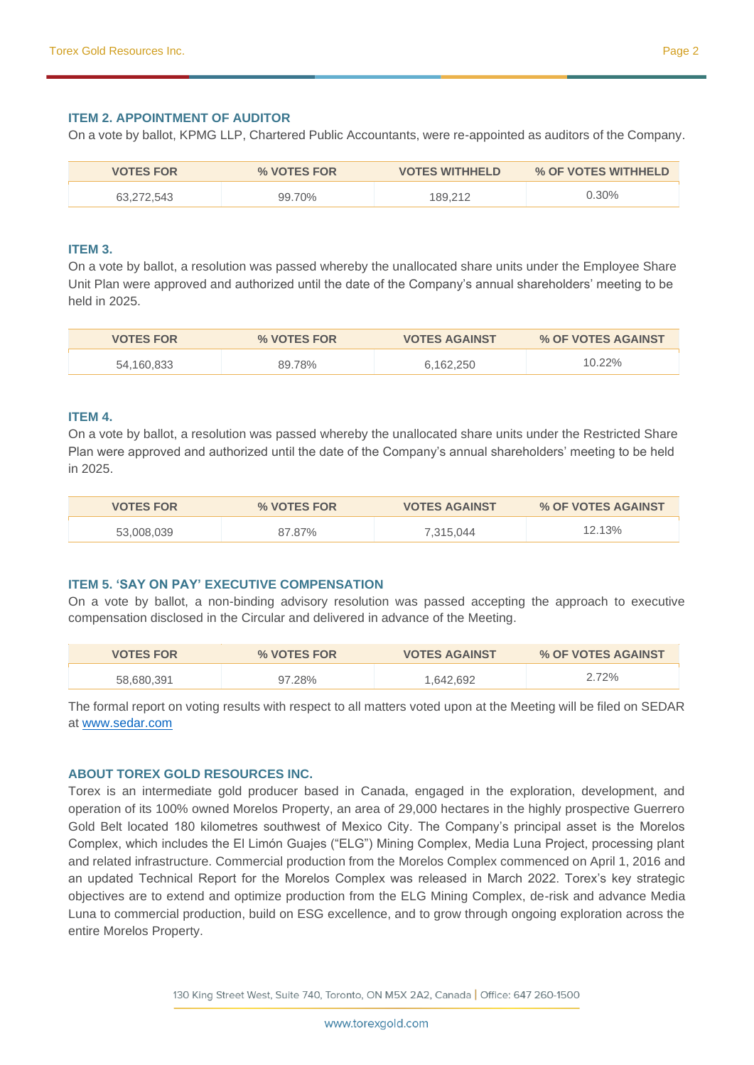### **ITEM 2. APPOINTMENT OF AUDITOR**

On a vote by ballot, KPMG LLP, Chartered Public Accountants, were re-appointed as auditors of the Company.

| <b>VOTES FOR</b> | % VOTES FOR | <b>VOTES WITHHELD</b> | % OF VOTES WITHHELD |
|------------------|-------------|-----------------------|---------------------|
| 63.272.543       | 99.70%      | 189.212               | $0.30\%$            |

#### **ITEM 3.**

On a vote by ballot, a resolution was passed whereby the unallocated share units under the Employee Share Unit Plan were approved and authorized until the date of the Company's annual shareholders' meeting to be held in 2025.

| <b>VOTES FOR</b> | % VOTES FOR | <b>VOTES AGAINST</b> | % OF VOTES AGAINST |
|------------------|-------------|----------------------|--------------------|
| 54.160.833       | 89.78%      | 6.162.250            | $10.22\%$          |

#### **ITEM 4.**

On a vote by ballot, a resolution was passed whereby the unallocated share units under the Restricted Share Plan were approved and authorized until the date of the Company's annual shareholders' meeting to be held in 2025.

| <b>VOTES FOR</b> | % VOTES FOR | <b>VOTES AGAINST</b> | % OF VOTES AGAINST |
|------------------|-------------|----------------------|--------------------|
| 53,008,039       | 87.87%      | 7,315,044            | 12.13%             |

# **ITEM 5. 'SAY ON PAY' EXECUTIVE COMPENSATION**

On a vote by ballot, a non-binding advisory resolution was passed accepting the approach to executive compensation disclosed in the Circular and delivered in advance of the Meeting.

| <b>VOTES FOR</b> | % VOTES FOR | <b>VOTES AGAINST</b> | % OF VOTES AGAINST |
|------------------|-------------|----------------------|--------------------|
| 58.680.391       | 97.28%      | 1,642,692            | 2.72%              |

The formal report on voting results with respect to all matters voted upon at the Meeting will be filed on SEDAR at [www.sedar.com](http://www.sedar.com/)

#### **ABOUT TOREX GOLD RESOURCES INC.**

Torex is an intermediate gold producer based in Canada, engaged in the exploration, development, and operation of its 100% owned Morelos Property, an area of 29,000 hectares in the highly prospective Guerrero Gold Belt located 180 kilometres southwest of Mexico City. The Company's principal asset is the Morelos Complex, which includes the El Limón Guajes ("ELG") Mining Complex, Media Luna Project, processing plant and related infrastructure. Commercial production from the Morelos Complex commenced on April 1, 2016 and an updated Technical Report for the Morelos Complex was released in March 2022. Torex's key strategic objectives are to extend and optimize production from the ELG Mining Complex, de-risk and advance Media Luna to commercial production, build on ESG excellence, and to grow through ongoing exploration across the entire Morelos Property.